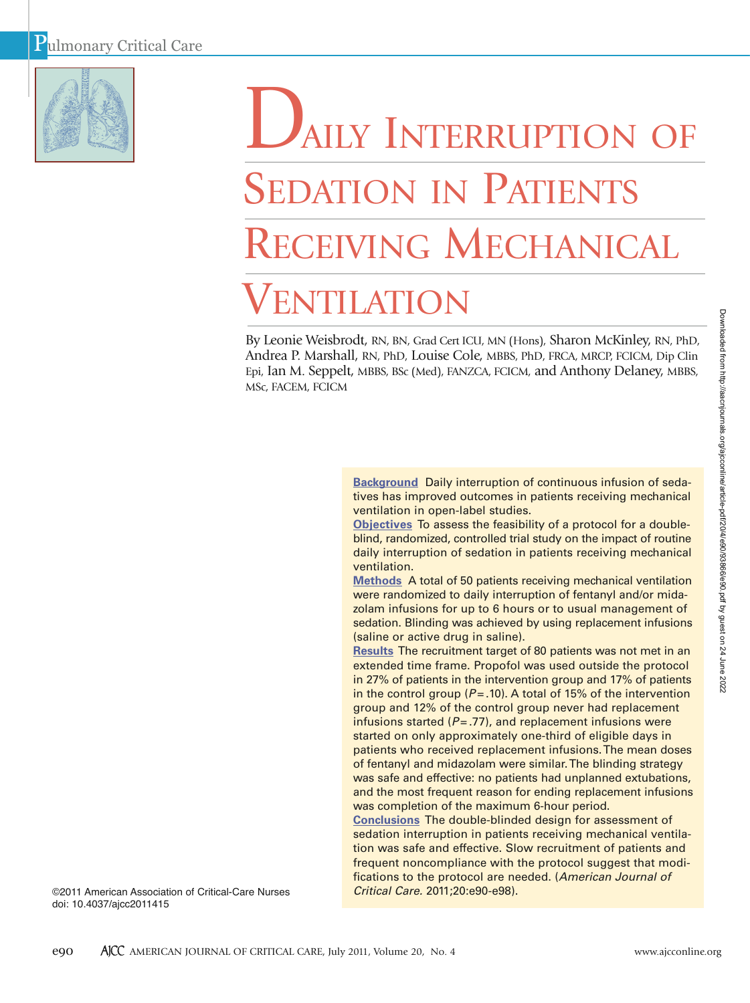

# AILY INTERRUPTION OF SEDATION IN PATIENTS RECEIVING MECHANICAL VENTILATION

By Leonie Weisbrodt, RN, BN, Grad Cert ICU, MN (Hons), Sharon McKinley, RN, PhD, Andrea P. Marshall, RN, PhD, Louise Cole, MBBS, PhD, FRCA, MRCP, FCICM, Dip Clin Epi, Ian M. Seppelt, MBBS, BSc (Med), FANZCA, FCICM, and Anthony Delaney, MBBS, MSc, FACEM, FCICM

> **Background** Daily interruption of continuous infusion of sedatives has improved outcomes in patients receiving mechanical ventilation in open-label studies.

> **Objectives** To assess the feasibility of a protocol for a doubleblind, randomized, controlled trial study on the impact of routine daily interruption of sedation in patients receiving mechanical ventilation.

> **Methods** A total of 50 patients receiving mechanical ventilation were randomized to daily interruption of fentanyl and/or midazolam infusions for up to 6 hours or to usual management of sedation. Blinding was achieved by using replacement infusions (saline or active drug in saline).

> **Results** The recruitment target of 80 patients was not met in an extended time frame. Propofol was used outside the protocol in 27% of patients in the intervention group and 17% of patients in the control group ( $P = .10$ ). A total of 15% of the intervention group and 12% of the control group never had replacement infusions started  $(P = .77)$ , and replacement infusions were started on only approximately one-third of eligible days in patients who received replacement infusions.The mean doses of fentanyl and midazolam were similar. The blinding strategy was safe and effective: no patients had unplanned extubations, and the most frequent reason for ending replacement infusions was completion of the maximum 6-hour period.

> **Conclusions** The double-blinded design for assessment of sedation interruption in patients receiving mechanical ventilation was safe and effective. Slow recruitment of patients and frequent noncompliance with the protocol suggest that modifications to the protocol are needed. (*American Journal of Critical Care.* 2011;20:e90-e98).

©2011 American Association of Critical-Care Nurses doi: 10.4037/ajcc2011415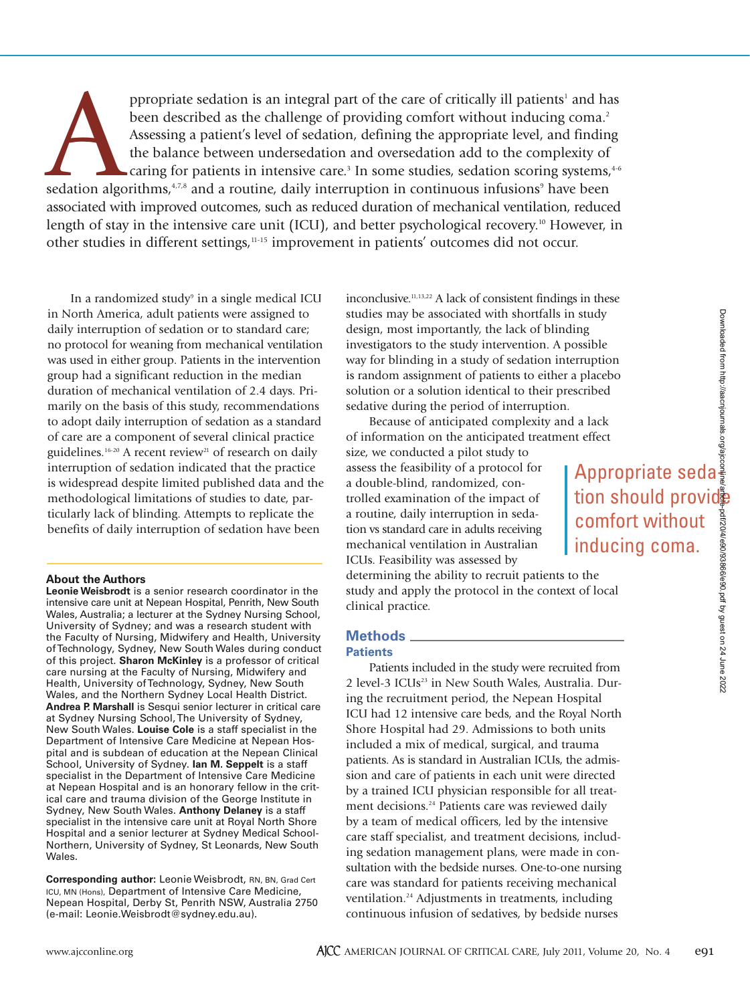comfort without inducing coma.

ppropriate sedation is an integral part of the care of critically ill patients<sup>1</sup> and has<br>been described as the challenge of providing comfort without inducing coma.<sup>2</sup><br>Assessing a patient's level of sedation, defining the been described as the challenge of providing comfort without inducing coma.<sup>2</sup> Assessing a patient's level of sedation, defining the appropriate level, and finding the balance between undersedation and oversedation add to the complexity of caring for patients in intensive care.<sup>3</sup> In some studies, sedation scoring systems, $4-6$ associated with improved outcomes, such as reduced duration of mechanical ventilation, reduced length of stay in the intensive care unit (ICU), and better psychological recovery.<sup>10</sup> However, in other studies in different settings,<sup>11-15</sup> improvement in patients' outcomes did not occur.

In a randomized study<sup>9</sup> in a single medical ICU in North America, adult patients were assigned to daily interruption of sedation or to standard care; no protocol for weaning from mechanical ventilation was used in either group. Patients in the intervention group had a significant reduction in the median duration of mechanical ventilation of 2.4 days. Primarily on the basis of this study, recommendations to adopt daily interruption of sedation as a standard of care are a component of several clinical practice guidelines.<sup>16-20</sup> A recent review<sup>21</sup> of research on daily interruption of sedation indicated that the practice is widespread despite limited published data and the methodological limitations of studies to date, particularly lack of blinding. Attempts to replicate the benefits of daily interruption of sedation have been

#### **About the Authors**

**Leonie Weisbrodt** is a senior research coordinator in the intensive care unit at Nepean Hospital, Penrith, New South Wales, Australia; a lecturer at the Sydney Nursing School, University of Sydney; and was a research student with the Faculty of Nursing, Midwifery and Health, University of Technology, Sydney, New South Wales during conduct of this project. **Sharon McKinley** is a professor of critical care nursing at the Faculty of Nursing, Midwifery and Health, University of Technology, Sydney, New South Wales, and the Northern Sydney Local Health District. **Andrea P. Marshall** is Sesqui senior lecturer in critical care at Sydney Nursing School, The University of Sydney, New South Wales. **Louise Cole** is a staff specialist in the Department of Intensive Care Medicine at Nepean Hospital and is subdean of education at the Nepean Clinical School, University of Sydney. **Ian M. Seppelt** is a staff specialist in the Department of Intensive Care Medicine at Nepean Hospital and is an honorary fellow in the critical care and trauma division of the George Institute in Sydney, New South Wales. **Anthony Delaney** is a staff specialist in the intensive care unit at Royal North Shore Hospital and a senior lecturer at Sydney Medical School-Northern, University of Sydney, St Leonards, New South Wales.

**Corresponding author:** Leonie Weisbrodt, RN, BN, Grad Cert ICU, MN (Hons), Department of Intensive Care Medicine, Nepean Hospital, Derby St, Penrith NSW, Australia 2750 (e-mail: Leonie.Weisbrodt@sydney.edu.au).

inconclusive.<sup>11,13,22</sup> A lack of consistent findings in these studies may be associated with shortfalls in study design, most importantly, the lack of blinding investigators to the study intervention. A possible way for blinding in a study of sedation interruption is random assignment of patients to either a placebo solution or a solution identical to their prescribed sedative during the period of interruption.

Because of anticipated complexity and a lack of information on the anticipated treatment effect

size, we conducted a pilot study to assess the feasibility of a protocol for a double-blind, randomized, controlled examination of the impact of a routine, daily interruption in sedation vs standard care in adults receiving mechanical ventilation in Australian ICUs. Feasibility was assessed by

determining the ability to recruit patients to the study and apply the protocol in the context of local clinical practice.

### **Methods**

#### **Patients**

Patients included in the study were recruited from 2 level-3 ICUs<sup>23</sup> in New South Wales, Australia. During the recruitment period, the Nepean Hospital ICU had 12 intensive care beds, and the Royal North Shore Hospital had 29. Admissions to both units included a mix of medical, surgical, and trauma patients. As is standard in Australian ICUs, the admission and care of patients in each unit were directed by a trained ICU physician responsible for all treatment decisions.<sup>24</sup> Patients care was reviewed daily by a team of medical officers, led by the intensive care staff specialist, and treatment decisions, including sedation management plans, were made in consultation with the bedside nurses. One-to-one nursing care was standard for patients receiving mechanical ventilation.24 Adjustments in treatments, including continuous infusion of sedatives, by bedside nurses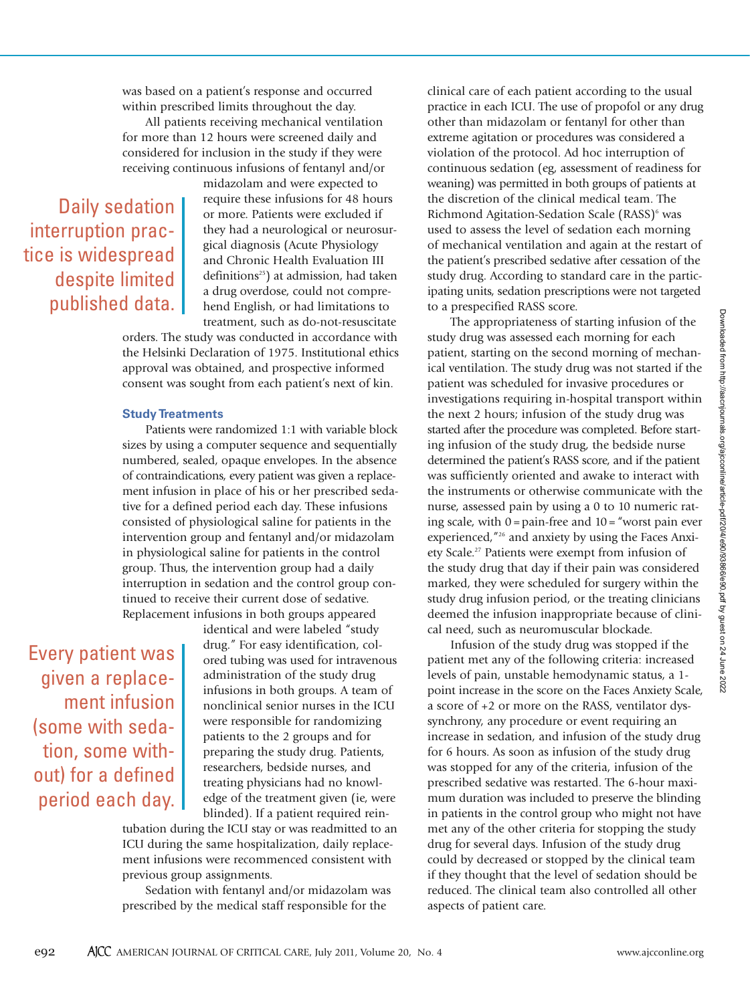was based on a patient's response and occurred within prescribed limits throughout the day.

All patients receiving mechanical ventilation for more than 12 hours were screened daily and considered for inclusion in the study if they were receiving continuous infusions of fentanyl and/or

Daily sedation interruption practice is widespread despite limited published data. midazolam and were expected to require these infusions for 48 hours or more. Patients were excluded if they had a neurological or neurosurgical diagnosis (Acute Physiology and Chronic Health Evaluation III definitions<sup>25</sup>) at admission, had taken a drug overdose, could not comprehend English, or had limitations to treatment, such as do-not-resuscitate

orders. The study was conducted in accordance with the Helsinki Declaration of 1975. Institutional ethics approval was obtained, and prospective informed consent was sought from each patient's next of kin.

#### **Study Treatments**

Patients were randomized 1:1 with variable block sizes by using a computer sequence and sequentially numbered, sealed, opaque envelopes. In the absence of contraindications, every patient was given a replacement infusion in place of his or her prescribed sedative for a defined period each day. These infusions consisted of physiological saline for patients in the intervention group and fentanyl and/or midazolam in physiological saline for patients in the control group. Thus, the intervention group had a daily interruption in sedation and the control group continued to receive their current dose of sedative. Replacement infusions in both groups appeared

Every patient was given a replacement infusion (some with sedation, some without) for a defined period each day. identical and were labeled "study drug." For easy identification, colored tubing was used for intravenous administration of the study drug infusions in both groups. A team of nonclinical senior nurses in the ICU were responsible for randomizing patients to the 2 groups and for preparing the study drug. Patients, researchers, bedside nurses, and treating physicians had no knowledge of the treatment given (ie, were blinded). If a patient required rein-

tubation during the ICU stay or was readmitted to an ICU during the same hospitalization, daily replacement infusions were recommenced consistent with previous group assignments.

Sedation with fentanyl and/or midazolam was prescribed by the medical staff responsible for the

clinical care of each patient according to the usual practice in each ICU. The use of propofol or any drug other than midazolam or fentanyl for other than extreme agitation or procedures was considered a violation of the protocol. Ad hoc interruption of continuous sedation (eg, assessment of readiness for weaning) was permitted in both groups of patients at the discretion of the clinical medical team. The Richmond Agitation-Sedation Scale (RASS)<sup>6</sup> was used to assess the level of sedation each morning of mechanical ventilation and again at the restart of the patient's prescribed sedative after cessation of the study drug. According to standard care in the participating units, sedation prescriptions were not targeted to a prespecified RASS score.

The appropriateness of starting infusion of the study drug was assessed each morning for each patient, starting on the second morning of mechanical ventilation. The study drug was not started if the patient was scheduled for invasive procedures or investigations requiring in-hospital transport within the next 2 hours; infusion of the study drug was started after the procedure was completed. Before starting infusion of the study drug, the bedside nurse determined the patient's RASS score, and if the patient was sufficiently oriented and awake to interact with the instruments or otherwise communicate with the nurse, assessed pain by using a 0 to 10 numeric rating scale, with  $0 = \text{pain-free}$  and  $10 = \text{``worst pain}$  ever experienced,"26 and anxiety by using the Faces Anxiety Scale.<sup>27</sup> Patients were exempt from infusion of the study drug that day if their pain was considered marked, they were scheduled for surgery within the study drug infusion period, or the treating clinicians deemed the infusion inappropriate because of clinical need, such as neuromuscular blockade.

Infusion of the study drug was stopped if the patient met any of the following criteria: increased levels of pain, unstable hemodynamic status, a 1 point increase in the score on the Faces Anxiety Scale, a score of +2 or more on the RASS, ventilator dyssynchrony, any procedure or event requiring an increase in sedation, and infusion of the study drug for 6 hours. As soon as infusion of the study drug was stopped for any of the criteria, infusion of the prescribed sedative was restarted. The 6-hour maximum duration was included to preserve the blinding in patients in the control group who might not have met any of the other criteria for stopping the study drug for several days. Infusion of the study drug could by decreased or stopped by the clinical team if they thought that the level of sedation should be reduced. The clinical team also controlled all other aspects of patient care.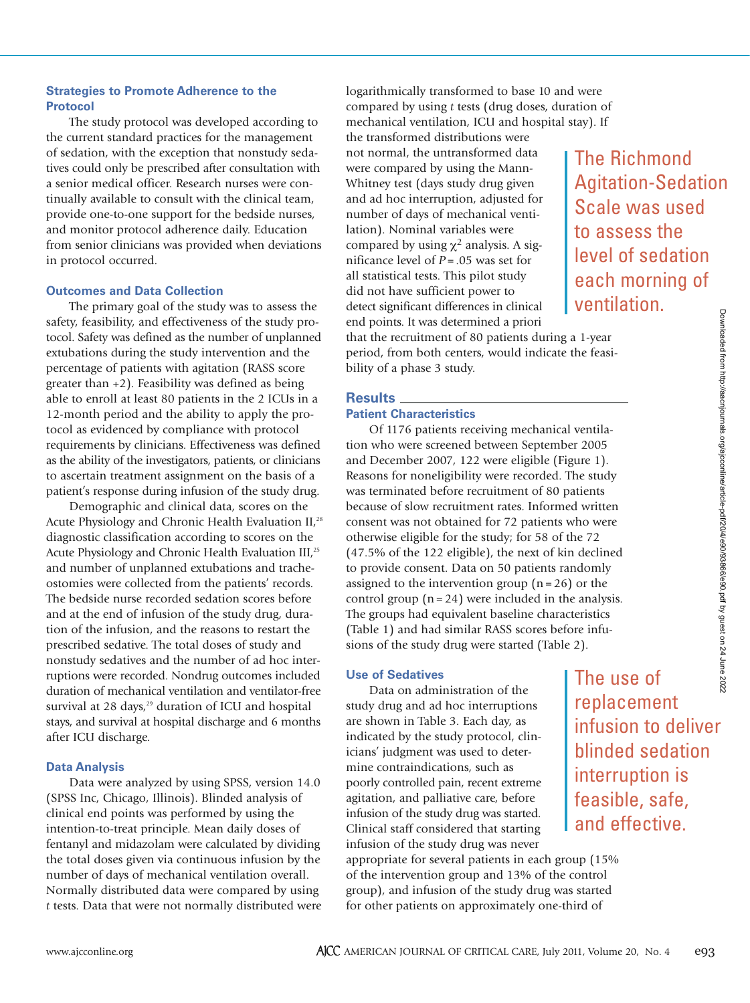#### **Strategies to Promote Adherence to the Protocol**

The study protocol was developed according to the current standard practices for the management of sedation, with the exception that nonstudy sedatives could only be prescribed after consultation with a senior medical officer. Research nurses were continually available to consult with the clinical team, provide one-to-one support for the bedside nurses, and monitor protocol adherence daily. Education from senior clinicians was provided when deviations in protocol occurred.

#### **Outcomes and Data Collection**

The primary goal of the study was to assess the safety, feasibility, and effectiveness of the study protocol. Safety was defined as the number of unplanned extubations during the study intervention and the percentage of patients with agitation (RASS score greater than +2). Feasibility was defined as being able to enroll at least 80 patients in the 2 ICUs in a 12-month period and the ability to apply the protocol as evidenced by compliance with protocol requirements by clinicians. Effectiveness was defined as the ability of the investigators, patients, or clinicians to ascertain treatment assignment on the basis of a patient's response during infusion of the study drug.

Demographic and clinical data, scores on the Acute Physiology and Chronic Health Evaluation II,<sup>28</sup> diagnostic classification according to scores on the Acute Physiology and Chronic Health Evaluation III,<sup>25</sup> and number of unplanned extubations and trache ostomies were collected from the patients' records. The bedside nurse recorded sedation scores before and at the end of infusion of the study drug, duration of the infusion, and the reasons to restart the prescribed sedative. The total doses of study and nonstudy sedatives and the number of ad hoc interruptions were recorded. Nondrug outcomes included duration of mechanical ventilation and ventilator-free survival at 28 days, $29$  duration of ICU and hospital stays, and survival at hospital discharge and 6 months after ICU discharge.

#### **Data Analysis**

Data were analyzed by using SPSS, version 14.0 (SPSS Inc, Chicago, Illinois). Blinded analysis of clinical end points was performed by using the intention-to-treat principle. Mean daily doses of fentanyl and midazolam were calculated by dividing the total doses given via continuous infusion by the number of days of mechanical ventilation overall. Normally distributed data were compared by using *t* tests. Data that were not normally distributed were logarithmically transformed to base 10 and were compared by using *t* tests (drug doses, duration of mechanical ventilation, ICU and hospital stay). If

the transformed distributions were not normal, the untransformed data were compared by using the Mann-Whitney test (days study drug given and ad hoc interruption, adjusted for number of days of mechanical ventilation). Nominal variables were compared by using  $\chi^2$  analysis. A significance level of *P* = .05 was set for all statistical tests. This pilot study did not have sufficient power to detect significant differences in clinical end points. It was determined a priori

The Richmond Agitation-Sedation Scale was used to assess the level of sedation each morning of ventilation.

that the recruitment of 80 patients during a 1-year period, from both centers, would indicate the feasibility of a phase 3 study.

#### **Results**

#### **Patient Characteristics**

Of 1176 patients receiving mechanical ventilation who were screened between September 2005 and December 2007, 122 were eligible (Figure 1). Reasons for noneligibility were recorded. The study was terminated before recruitment of 80 patients because of slow recruitment rates. Informed written consent was not obtained for 72 patients who were otherwise eligible for the study; for 58 of the 72 (47.5% of the 122 eligible), the next of kin declined to provide consent. Data on 50 patients randomly assigned to the intervention group  $(n = 26)$  or the control group  $(n = 24)$  were included in the analysis. The groups had equivalent baseline characteristics (Table 1) and had similar RASS scores before infusions of the study drug were started (Table 2).

#### **Use of Sedatives**

Data on administration of the study drug and ad hoc interruptions are shown in Table 3. Each day, as indicated by the study protocol, clinicians' judgment was used to determine contraindications, such as poorly controlled pain, recent extreme agitation, and palliative care, before infusion of the study drug was started. Clinical staff considered that starting infusion of the study drug was never

appropriate for several patients in each group (15% of the intervention group and 13% of the control group), and infusion of the study drug was started for other patients on approximately one-third of

The use of replacement infusion to deliver blinded sedation interruption is feasible, safe, and effective.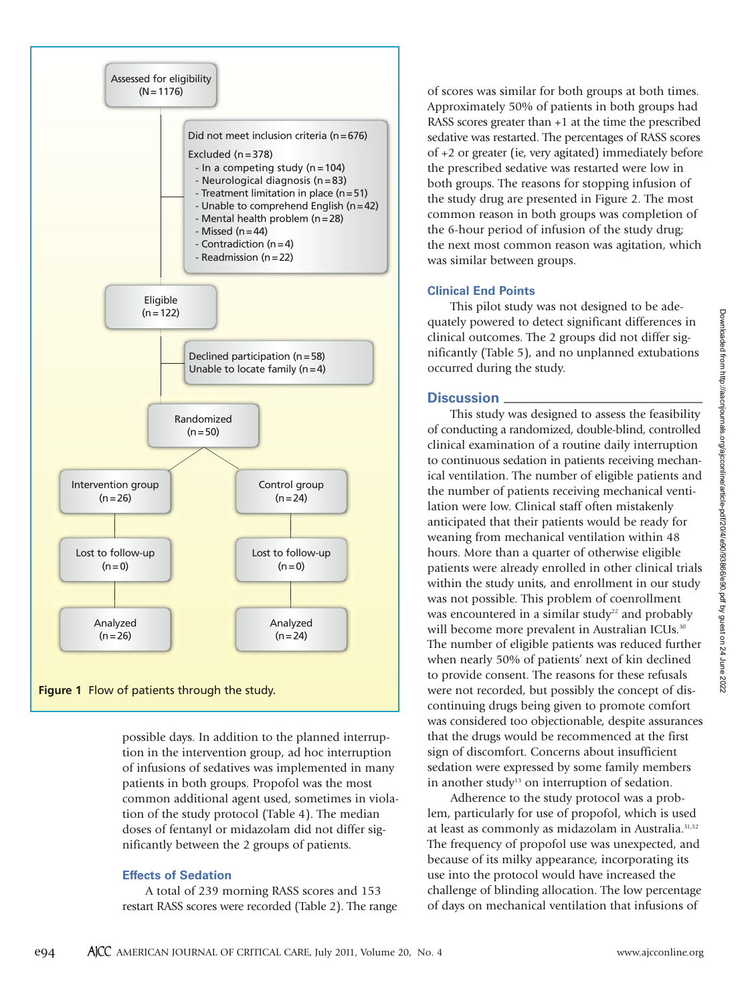

possible days. In addition to the planned interruption in the intervention group, ad hoc interruption of infusions of sedatives was implemented in many patients in both groups. Propofol was the most common additional agent used, sometimes in violation of the study protocol (Table 4). The median doses of fentanyl or midazolam did not differ significantly between the 2 groups of patients.

#### **Effects of Sedation**

A total of 239 morning RASS scores and 153 restart RASS scores were recorded (Table 2). The range of scores was similar for both groups at both times. Approximately 50% of patients in both groups had RASS scores greater than +1 at the time the prescribed sedative was restarted. The percentages of RASS scores of +2 or greater (ie, very agitated) immediately before the prescribed sedative was restarted were low in both groups. The reasons for stopping infusion of the study drug are presented in Figure 2. The most common reason in both groups was completion of the 6-hour period of infusion of the study drug; the next most common reason was agitation, which was similar between groups.

#### **Clinical End Points**

This pilot study was not designed to be adequately powered to detect significant differences in clinical outcomes. The 2 groups did not differ significantly (Table 5), and no unplanned extubations occurred during the study.

#### **Discussion**

This study was designed to assess the feasibility of conducting a randomized, double-blind, controlled clinical examination of a routine daily interruption to continuous sedation in patients receiving mechanical ventilation. The number of eligible patients and the number of patients receiving mechanical ventilation were low. Clinical staff often mistakenly anticipated that their patients would be ready for weaning from mechanical ventilation within 48 hours. More than a quarter of otherwise eligible patients were already enrolled in other clinical trials within the study units, and enrollment in our study was not possible. This problem of coenrollment was encountered in a similar study<sup>22</sup> and probably will become more prevalent in Australian ICUs.<sup>30</sup> The number of eligible patients was reduced further when nearly 50% of patients' next of kin declined to provide consent. The reasons for these refusals were not recorded, but possibly the concept of discontinuing drugs being given to promote comfort was considered too objectionable, despite assurances that the drugs would be recommenced at the first sign of discomfort. Concerns about insufficient sedation were expressed by some family members in another study<sup>13</sup> on interruption of sedation.

Adherence to the study protocol was a problem, particularly for use of propofol, which is used at least as commonly as midazolam in Australia.<sup>31,32</sup> The frequency of propofol use was unexpected, and because of its milky appearance, incorporating its use into the protocol would have increased the challenge of blinding allocation. The low percentage of days on mechanical ventilation that infusions of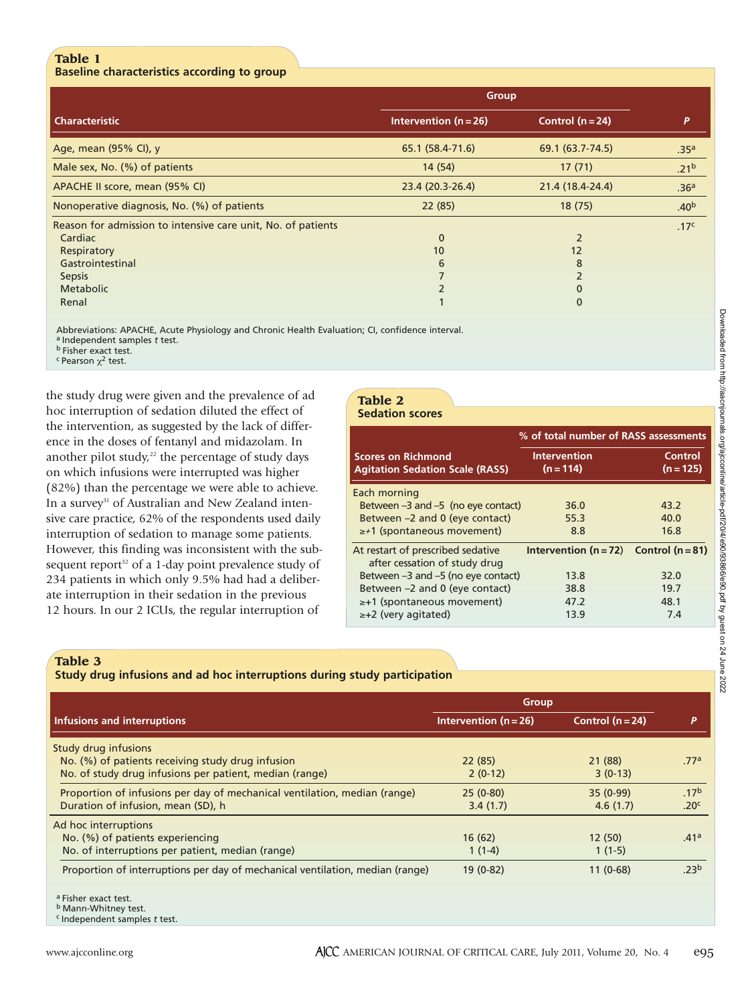#### **Table 1 Baseline characteristics according to group**

|                                                              | <b>Group</b>              |                  |                  |
|--------------------------------------------------------------|---------------------------|------------------|------------------|
| <b>Characteristic</b>                                        | Intervention ( $n = 26$ ) | Control $(n=24)$ | P                |
| Age, mean (95% CI), y                                        | 65.1 (58.4-71.6)          | 69.1 (63.7-74.5) | .35 <sup>a</sup> |
| Male sex, No. (%) of patients                                | 14(54)                    | 17(71)           | .21 <sup>b</sup> |
| APACHE II score, mean (95% CI)                               | 23.4 (20.3-26.4)          | 21.4 (18.4-24.4) | .36 <sup>a</sup> |
| Nonoperative diagnosis, No. (%) of patients                  | 22(85)                    | 18(75)           | .40 <sup>b</sup> |
| Reason for admission to intensive care unit, No. of patients |                           |                  | .17 <sup>c</sup> |
| Cardiac                                                      | $\mathbf{0}$              | $\overline{2}$   |                  |
| Respiratory                                                  | 10                        | 12               |                  |
| Gastrointestinal                                             | 6                         | 8                |                  |
| <b>Sepsis</b>                                                |                           | $\overline{2}$   |                  |
| Metabolic                                                    | $\overline{2}$            | 0                |                  |
| Renal                                                        |                           | $\mathbf 0$      |                  |

Abbreviations: APACHE, Acute Physiology and Chronic Health Evaluation; CI, confidence interval.

a Independent samples *t* test. **b** Fisher exact test.

<sup>c</sup> Pearson  $χ²$  test.

the study drug were given and the prevalence of ad hoc interruption of sedation diluted the effect of the intervention, as suggested by the lack of difference in the doses of fentanyl and midazolam. In another pilot study, $22$  the percentage of study days on which infusions were interrupted was higher (82%) than the percentage we were able to achieve. In a survey<sup>31</sup> of Australian and New Zealand intensive care practice, 62% of the respondents used daily interruption of sedation to manage some patients. However, this finding was inconsistent with the subsequent report<sup>32</sup> of a 1-day point prevalence study of 234 patients in which only 9.5% had had a deliberate interruption in their sedation in the previous 12 hours. In our 2 ICUs, the regular interruption of

# **Table 2**

| <b>Sedation scores</b>                                              |                                        |                        |  |
|---------------------------------------------------------------------|----------------------------------------|------------------------|--|
|                                                                     | % of total number of RASS assessments  |                        |  |
| <b>Scores on Richmond</b><br><b>Agitation Sedation Scale (RASS)</b> | <b>Intervention</b><br>$(n = 114)$     | Control<br>$(n = 125)$ |  |
| Each morning                                                        |                                        |                        |  |
| Between $-3$ and $-5$ (no eye contact)                              | 36.0                                   | 43.2                   |  |
| Between -2 and 0 (eye contact)                                      | 55.3                                   | 40.0                   |  |
| $\geq$ +1 (spontaneous movement)                                    | 8.8                                    | 16.8                   |  |
| At restart of prescribed sedative<br>after cessation of study drug  | Intervention $(n=72)$ Control $(n=81)$ |                        |  |
| Between -3 and -5 (no eye contact)                                  | 13.8                                   | 32.0                   |  |
| Between -2 and 0 (eye contact)                                      | 38.8                                   | 19.7                   |  |
| $\geq +1$ (spontaneous movement)                                    | 47.2                                   | 48.1                   |  |
| $\geq +2$ (very agitated)                                           | 13.9                                   | 7.4                    |  |

#### **Table 3**

## **Study drug infusions and ad hoc interruptions during study participation**

| Group                   |                                                                               |                  |
|-------------------------|-------------------------------------------------------------------------------|------------------|
| Intervention $(n = 26)$ | Control $(n=24)$                                                              | P                |
|                         |                                                                               |                  |
| 22(85)                  | 21 (88)                                                                       | .77ª             |
| $2(0-12)$               | $3(0-13)$                                                                     |                  |
| $25(0-80)$              | $35(0-99)$                                                                    | .17 <sup>b</sup> |
| 3.4(1.7)                | 4.6(1.7)                                                                      | .20 <sup>c</sup> |
|                         |                                                                               |                  |
| 16(62)                  | 12(50)                                                                        | .41a             |
| $1(1-4)$                | $1(1-5)$                                                                      |                  |
| $19(0-82)$              | $11(0-68)$                                                                    | .23 <sup>b</sup> |
|                         |                                                                               |                  |
|                         |                                                                               |                  |
|                         | Proportion of interruptions per day of mechanical ventilation, median (range) |                  |

c Independent samples *t* test.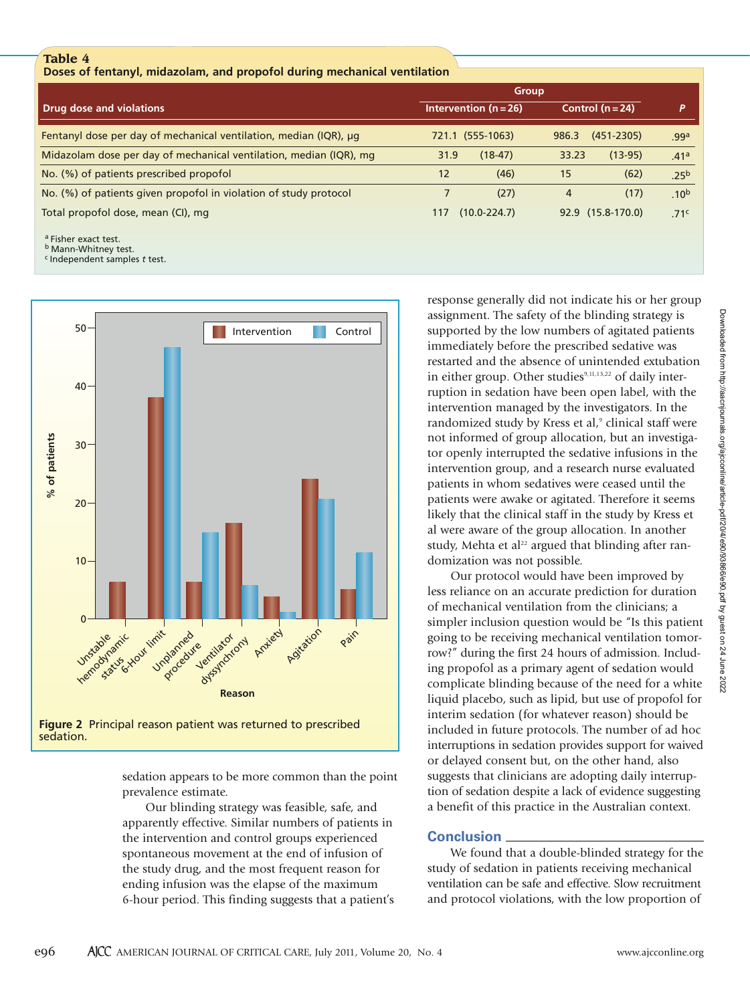#### **Table 4**

**Doses of fentanyl, midazolam, and propofol during mechanical ventilation**

|                                                                    | Group                     |                         |                  |
|--------------------------------------------------------------------|---------------------------|-------------------------|------------------|
| Drug dose and violations                                           | Intervention ( $n = 26$ ) | Control $(n=24)$        |                  |
| Fentanyl dose per day of mechanical ventilation, median (IQR), µq  | 721.1 (555-1063)          | $(451 - 2305)$<br>986.3 | .99a             |
| Midazolam dose per day of mechanical ventilation, median (IQR), mg | $(18-47)$<br>31.9         | $(13-95)$<br>33.23      | .41a             |
| No. (%) of patients prescribed propofol                            | (46)<br>12                | (62)<br>15              | .25 <sup>b</sup> |
| No. (%) of patients given propofol in violation of study protocol  | (27)                      | (17)<br>4               | .10 <sup>b</sup> |
| Total propofol dose, mean (CI), mg                                 | $(10.0 - 224.7)$<br>117   | 92.9 (15.8-170.0)       | .71 <sup>c</sup> |

a Fisher exact test.

**b** Mann-Whitney test.

c Independent samples *t* test.



**Figure 2** Principal reason patient was returned to prescribed sedation.

sedation appears to be more common than the point prevalence estimate.

Our blinding strategy was feasible, safe, and apparently effective. Similar numbers of patients in the intervention and control groups experienced spontaneous movement at the end of infusion of the study drug, and the most frequent reason for ending infusion was the elapse of the maximum 6-hour period. This finding suggests that a patient's response generally did not indicate his or her group assignment. The safety of the blinding strategy is supported by the low numbers of agitated patients immediately before the prescribed sedative was restarted and the absence of unintended extubation in either group. Other studies $9,11,13,22$  of daily interruption in sedation have been open label, with the intervention managed by the investigators. In the randomized study by Kress et al,<sup>9</sup> clinical staff were not informed of group allocation, but an investigator openly interrupted the sedative infusions in the intervention group, and a research nurse evaluated patients in whom sedatives were ceased until the patients were awake or agitated. Therefore it seems likely that the clinical staff in the study by Kress et al were aware of the group allocation. In another study, Mehta et al<sup>22</sup> argued that blinding after randomization was not possible.

Our protocol would have been improved by less reliance on an accurate prediction for duration of mechanical ventilation from the clinicians; a simpler inclusion question would be "Is this patient going to be receiving mechanical ventilation tomorrow?" during the first 24 hours of admission. Including propofol as a primary agent of sedation would complicate blinding because of the need for a white liquid placebo, such as lipid, but use of propofol for interim sedation (for whatever reason) should be included in future protocols. The number of ad hoc interruptions in sedation provides support for waived or delayed consent but, on the other hand, also suggests that clinicians are adopting daily interruption of sedation despite a lack of evidence suggesting a benefit of this practice in the Australian context.

#### **Conclusion**

We found that a double-blinded strategy for the study of sedation in patients receiving mechanical ventilation can be safe and effective. Slow recruitment and protocol violations, with the low proportion of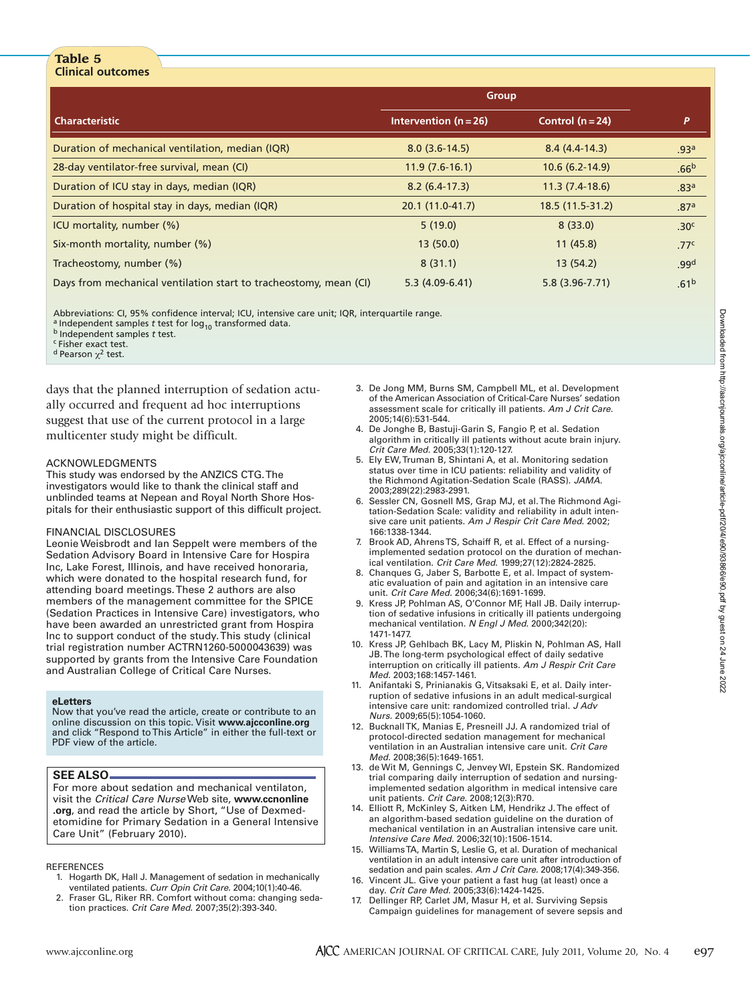#### **Table 5 Clinical outcomes**

|                                                                   | Group                     |                    |                  |
|-------------------------------------------------------------------|---------------------------|--------------------|------------------|
| <b>Characteristic</b>                                             | Intervention ( $n = 26$ ) | Control $(n=24)$   | P                |
| Duration of mechanical ventilation, median (IQR)                  | $8.0(3.6-14.5)$           | $8.4(4.4-14.3)$    | .93 <sup>a</sup> |
| 28-day ventilator-free survival, mean (CI)                        | $11.9(7.6-16.1)$          | $10.6(6.2-14.9)$   | .66 <sup>b</sup> |
| Duration of ICU stay in days, median (IQR)                        | $8.2(6.4-17.3)$           | $11.3(7.4-18.6)$   | .83 <sup>a</sup> |
| Duration of hospital stay in days, median (IQR)                   | 20.1 (11.0-41.7)          | 18.5 (11.5-31.2)   | .87 <sup>a</sup> |
| ICU mortality, number (%)                                         | 5(19.0)                   | 8(33.0)            | .30 <sup>c</sup> |
| Six-month mortality, number (%)                                   | 13(50.0)                  | 11(45.8)           | .77 <sup>c</sup> |
| Tracheostomy, number (%)                                          | 8(31.1)                   | 13(54.2)           | .99 <sup>d</sup> |
| Days from mechanical ventilation start to tracheostomy, mean (CI) | $5.3(4.09-6.41)$          | $5.8(3.96 - 7.71)$ | .61 <sup>b</sup> |

Abbreviations: CI, 95% confidence interval; ICU, intensive care unit; IQR, interquartile range.

<sup>a</sup> Independent samples *t* test for  $log_{10}$  transformed data. **b** Independent samples *t* test.

c Fisher exact test.

<sup>d</sup> Pearson  $χ²$  test.

days that the planned interruption of sedation actually occurred and frequent ad hoc interruptions suggest that use of the current protocol in a large multicenter study might be difficult.

#### ACKNOWLEDGMENTS

This study was endorsed by the ANZICS CTG. The investigators would like to thank the clinical staff and unblinded teams at Nepean and Royal North Shore Hospitals for their enthusiastic support of this difficult project.

#### FINANCIAL DISCLOSURES

Leonie Weisbrodt and Ian Seppelt were members of the Sedation Advisory Board in Intensive Care for Hospira Inc, Lake Forest, Illinois, and have received honoraria, which were donated to the hospital research fund, for attending board meetings. These 2 authors are also members of the management committee for the SPICE (Sedation Practices in Intensive Care) investigators, who have been awarded an unrestricted grant from Hospira Inc to support conduct of the study.This study (clinical trial registration number ACTRN1260-5000043639) was supported by grants from the Intensive Care Foundation and Australian College of Critical Care Nurses.

#### **eLetters**

Now that you've read the article, create or contribute to an online discussion on this topic. Visit **www.ajcconline.org** and click "Respond to This Article" in either the full-text or PDF view of the article.

#### **SEE ALSO**

For more about sedation and mechanical ventilaton, visit the *Critical Care Nurse* Web site, **www.ccnonline .org**, and read the article by Short, "Use of Dexmedetomidine for Primary Sedation in a General Intensive Care Unit" (February 2010).

#### **REFERENCES**

- 1. Hogarth DK, Hall J. Management of sedation in mechanically ventilated patients. *Curr Opin Crit Care.* 2004;10(1):40-46.
- 2. Fraser GL, Riker RR. Comfort without coma: changing sedation practices. *Crit Care Med.* 2007;35(2):393-340.
- 3. De Jong MM, Burns SM, Campbell ML, et al. Development of the American Association of Critical-Care Nurses' sedation assessment scale for critically ill patients. *Am J Crit Care.* 2005;14(6):531-544.
- 4. De Jonghe B, Bastuji-Garin S, Fangio P, et al. Sedation algorithm in critically ill patients without acute brain injury. *Crit Care Med.* 2005;33(1):120-127.
- 5. Ely EW, Truman B, Shintani A, et al. Monitoring sedation status over time in ICU patients: reliability and validity of the Richmond Agitation-Sedation Scale (RASS). *JAMA.* 2003;289(22):2983-2991.
- 6. Sessler CN, Gosnell MS, Grap MJ, et al. The Richmond Agitation-Sedation Scale: validity and reliability in adult intensive care unit patients. *Am J Respir Crit Care Med.* 2002; 166:1338-1344.
- 7. Brook AD, Ahrens TS, Schaiff R, et al. Effect of a nursingimplemented sedation protocol on the duration of mechanical ventilation. *Crit Care Med.* 1999;27(12):2824-2825.
- 8. Chanques G, Jaber S, Barbotte E, et al. Impact of systematic evaluation of pain and agitation in an intensive care unit. *Crit Care Med.* 2006;34(6):1691-1699.
- 9. Kress JP, Pohlman AS, O'Connor MF, Hall JB. Daily interruption of sedative infusions in critically ill patients undergoing mechanical ventilation. *N Engl J Med.* 2000;342(20): 1471-1477.
- 10. Kress JP, Gehlbach BK, Lacy M, Pliskin N, Pohlman AS, Hall JB. The long-term psychological effect of daily sedative interruption on critically ill patients. *Am J Respir Crit Care Med.* 2003;168:1457-1461.
- 11. Anifantaki S, Prinianakis G, Vitsaksaki E, et al. Daily interruption of sedative infusions in an adult medical-surgical intensive care unit: randomized controlled trial. *J Adv Nurs.* 2009;65(5):1054-1060.
- 12. Bucknall TK, Manias E, Presneill JJ. A randomized trial of protocol-directed sedation management for mechanical ventilation in an Australian intensive care unit. *Crit Care Med.* 2008;36(5):1649-1651.
- 13. de Wit M, Gennings C, Jenvey WI, Epstein SK. Randomized trial comparing daily interruption of sedation and nursingimplemented sedation algorithm in medical intensive care unit patients. *Crit Care.* 2008;12(3):R70.
- 14. Elliott R, McKinley S, Aitken LM, Hendrikz J. The effect of an algorithm-based sedation guideline on the duration of mechanical ventilation in an Australian intensive care unit. *Intensive Care Med.* 2006;32(10):1506-1514.
- 15. Williams TA, Martin S, Leslie G, et al. Duration of mechanical ventilation in an adult intensive care unit after introduction of sedation and pain scales. *Am J Crit Care.* 2008;17(4):349-356.
- 16. Vincent JL. Give your patient a fast hug (at least) once a day. *Crit Care Med.* 2005;33(6):1424-1425.
- 17. Dellinger RP, Carlet JM, Masur H, et al. Surviving Sepsis Campaign guidelines for management of severe sepsis and